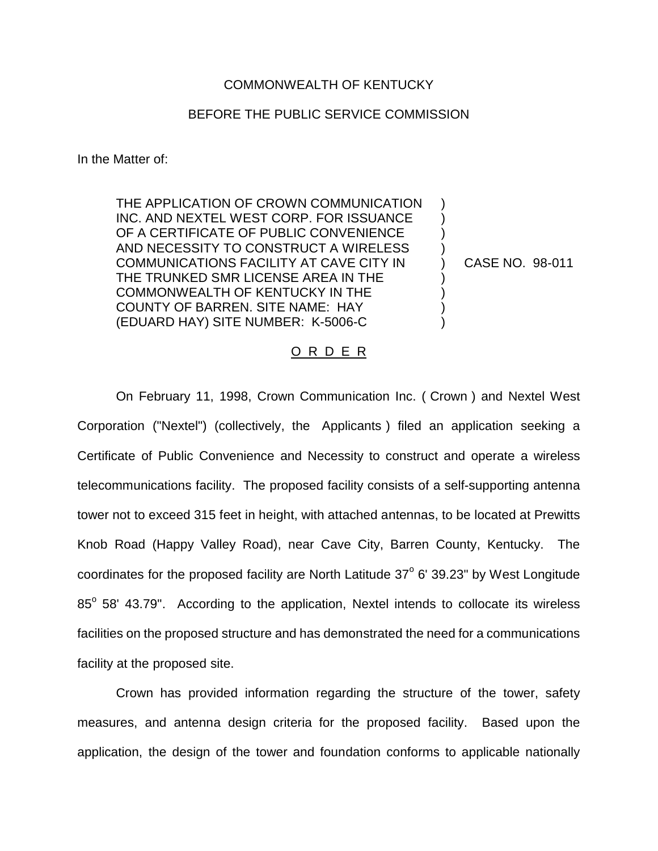## COMMONWEALTH OF KENTUCKY

## BEFORE THE PUBLIC SERVICE COMMISSION

In the Matter of:

THE APPLICATION OF CROWN COMMUNICATION INC. AND NEXTEL WEST CORP. FOR ISSUANCE OF A CERTIFICATE OF PUBLIC CONVENIENCE AND NECESSITY TO CONSTRUCT A WIRELESS COMMUNICATIONS FACILITY AT CAVE CITY IN THE TRUNKED SMR LICENSE AREA IN THE COMMONWEALTH OF KENTUCKY IN THE COUNTY OF BARREN. SITE NAME: HAY (EDUARD HAY) SITE NUMBER: K-5006-C

CASE NO. 98-011

) ) ) ) ) ) ) ) )

## O R D E R

On February 11, 1998, Crown Communication Inc. ( Crown ) and Nextel West Corporation ("Nextel") (collectively, the Applicants ) filed an application seeking a Certificate of Public Convenience and Necessity to construct and operate a wireless telecommunications facility. The proposed facility consists of a self-supporting antenna tower not to exceed 315 feet in height, with attached antennas, to be located at Prewitts Knob Road (Happy Valley Road), near Cave City, Barren County, Kentucky. The coordinates for the proposed facility are North Latitude  $37^\circ$  6' 39.23" by West Longitude  $85^\circ$  58' 43.79". According to the application, Nextel intends to collocate its wireless facilities on the proposed structure and has demonstrated the need for a communications facility at the proposed site.

Crown has provided information regarding the structure of the tower, safety measures, and antenna design criteria for the proposed facility. Based upon the application, the design of the tower and foundation conforms to applicable nationally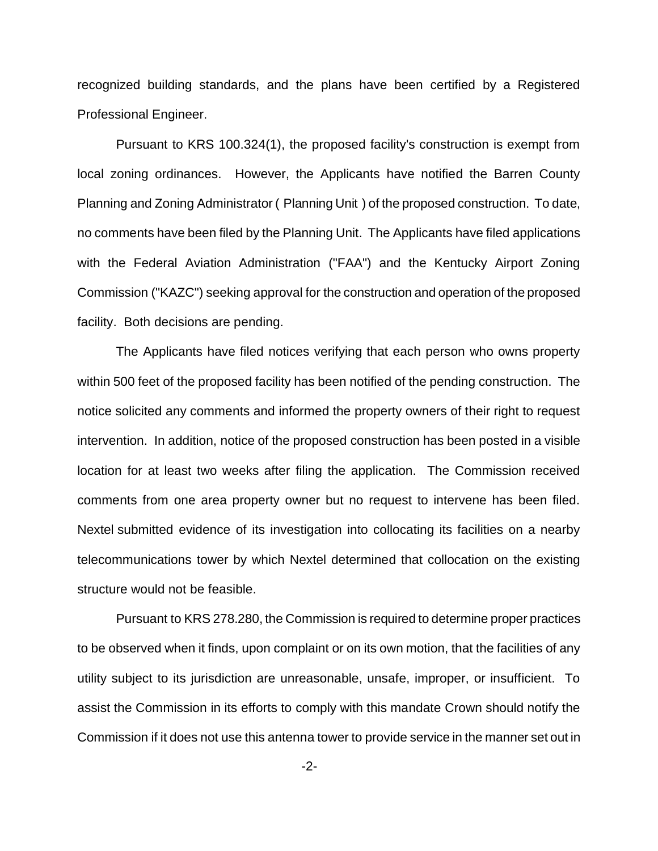recognized building standards, and the plans have been certified by a Registered Professional Engineer.

Pursuant to KRS 100.324(1), the proposed facility's construction is exempt from local zoning ordinances. However, the Applicants have notified the Barren County Planning and Zoning Administrator ( Planning Unit ) of the proposed construction. To date, no comments have been filed by the Planning Unit. The Applicants have filed applications with the Federal Aviation Administration ("FAA") and the Kentucky Airport Zoning Commission ("KAZC") seeking approval for the construction and operation of the proposed facility. Both decisions are pending.

The Applicants have filed notices verifying that each person who owns property within 500 feet of the proposed facility has been notified of the pending construction. The notice solicited any comments and informed the property owners of their right to request intervention. In addition, notice of the proposed construction has been posted in a visible location for at least two weeks after filing the application. The Commission received comments from one area property owner but no request to intervene has been filed. Nextel submitted evidence of its investigation into collocating its facilities on a nearby telecommunications tower by which Nextel determined that collocation on the existing structure would not be feasible.

Pursuant to KRS 278.280, the Commission is required to determine proper practices to be observed when it finds, upon complaint or on its own motion, that the facilities of any utility subject to its jurisdiction are unreasonable, unsafe, improper, or insufficient. To assist the Commission in its efforts to comply with this mandate Crown should notify the Commission if it does not use this antenna tower to provide service in the manner set out in

-2-